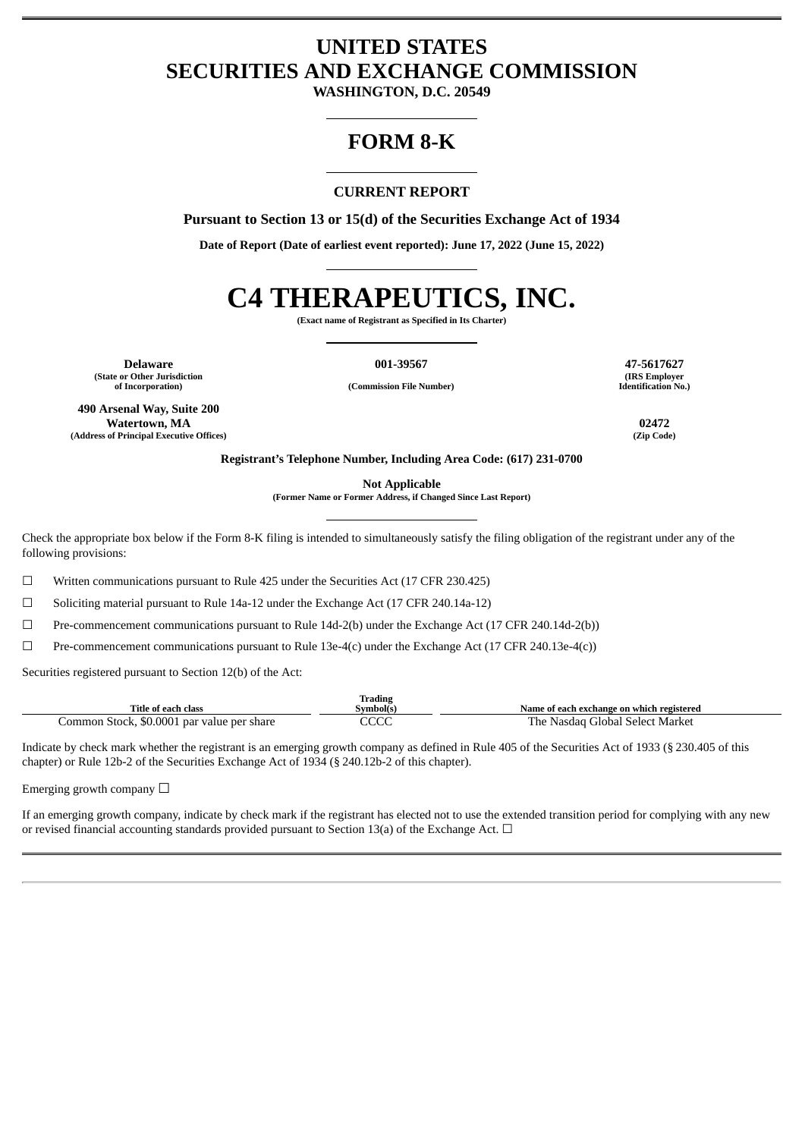# **UNITED STATES SECURITIES AND EXCHANGE COMMISSION**

**WASHINGTON, D.C. 20549**

## **FORM 8-K**

## **CURRENT REPORT**

**Pursuant to Section 13 or 15(d) of the Securities Exchange Act of 1934**

**Date of Report (Date of earliest event reported): June 17, 2022 (June 15, 2022)**

# **C4 THERAPEUTICS, INC.**

**(Exact name of Registrant as Specified in Its Charter)**

**of Incorporation) (Commission File Number)**

**Delaware 001-39567 47-5617627 (State or Other Jurisdiction**

**490 Arsenal Way, Suite 200 Watertown, MA 02472 (Address of Principal Executive Offices) (Zip Code)**

**(IRS Employer Identification No.)**

**Registrant's Telephone Number, Including Area Code: (617) 231-0700**

**Not Applicable**

**(Former Name or Former Address, if Changed Since Last Report)**

Check the appropriate box below if the Form 8-K filing is intended to simultaneously satisfy the filing obligation of the registrant under any of the following provisions:

☐ Written communications pursuant to Rule 425 under the Securities Act (17 CFR 230.425)

 $\Box$  Soliciting material pursuant to Rule 14a-12 under the Exchange Act (17 CFR 240.14a-12)

☐ Pre-commencement communications pursuant to Rule 14d-2(b) under the Exchange Act (17 CFR 240.14d-2(b))

☐ Pre-commencement communications pursuant to Rule 13e-4(c) under the Exchange Act (17 CFR 240.13e-4(c))

Securities registered pursuant to Section 12(b) of the Act:

|                                            | <b>Trading</b> |                                           |
|--------------------------------------------|----------------|-------------------------------------------|
| Title of each class                        | Svmbol(s)      | Name of each exchange on which registered |
| Common Stock, \$0.0001 par value per share | $\sim$<br>しししし | The .<br>: Nasdag Global Select Market    |

Indicate by check mark whether the registrant is an emerging growth company as defined in Rule 405 of the Securities Act of 1933 (§ 230.405 of this chapter) or Rule 12b-2 of the Securities Exchange Act of 1934 (§ 240.12b-2 of this chapter).

Emerging growth company  $\Box$ 

If an emerging growth company, indicate by check mark if the registrant has elected not to use the extended transition period for complying with any new or revised financial accounting standards provided pursuant to Section 13(a) of the Exchange Act.  $\Box$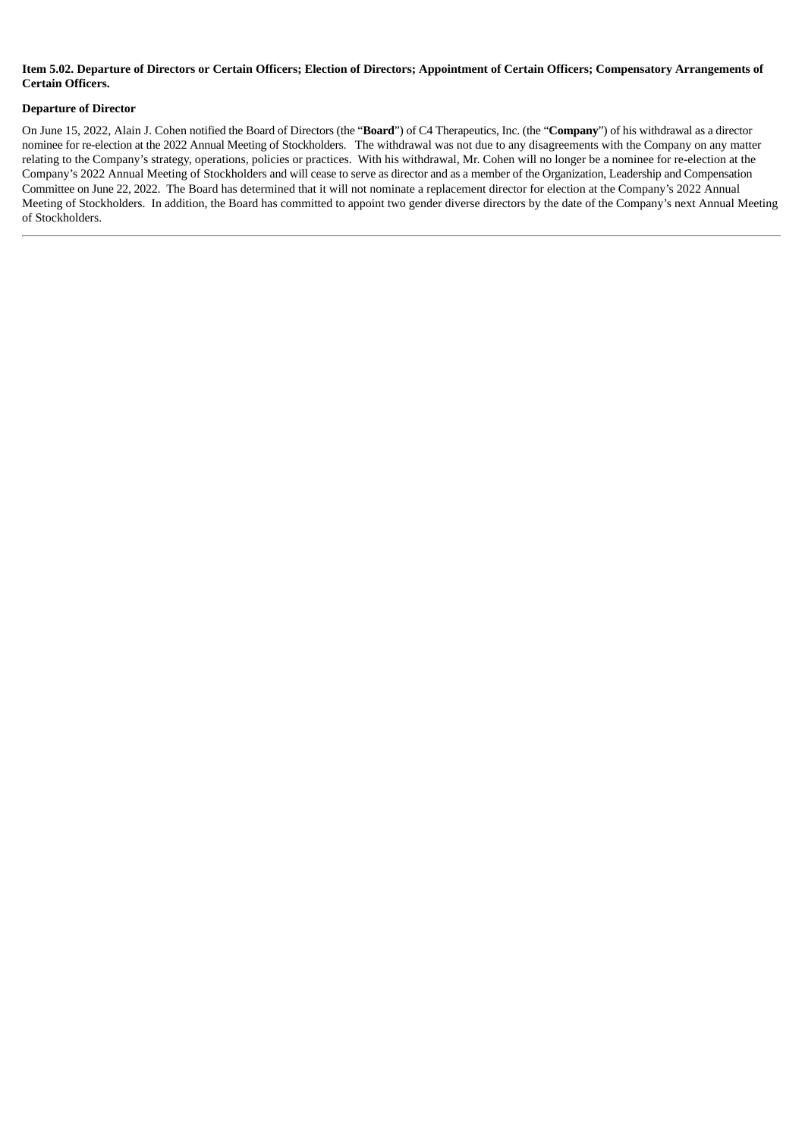### Item 5.02. Departure of Directors or Certain Officers: Election of Directors: Appointment of Certain Officers: Compensatory Arrangements of **Certain Officers.**

#### **Departure of Director**

On June 15, 2022, Alain J. Cohen notified the Board of Directors (the "**Board**") of C4 Therapeutics, Inc. (the "**Company**") of his withdrawal as a director nominee for re-election at the 2022 Annual Meeting of Stockholders. The withdrawal was not due to any disagreements with the Company on any matter relating to the Company's strategy, operations, policies or practices. With his withdrawal, Mr. Cohen will no longer be a nominee for re-election at the Company's 2022 Annual Meeting of Stockholders and will cease to serve as director and as a member of the Organization, Leadership and Compensation Committee on June 22, 2022. The Board has determined that it will not nominate a replacement director for election at the Company's 2022 Annual Meeting of Stockholders. In addition, the Board has committed to appoint two gender diverse directors by the date of the Company's next Annual Meeting of Stockholders.